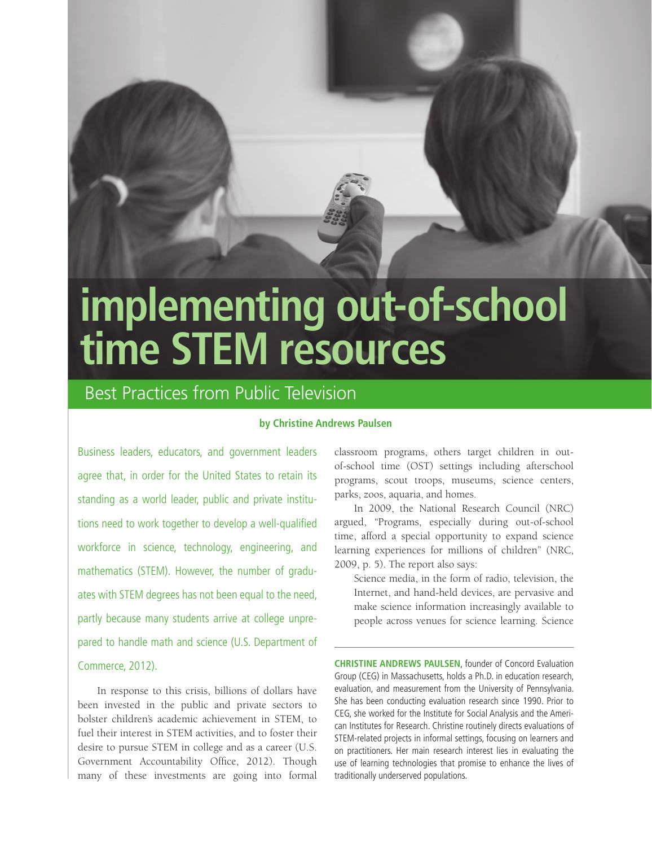

# **implementing out-of-school time STEM resources**

# Best Practices from Public Television

# **by Christine Andrews Paulsen**

Business leaders, educators, and government leaders agree that, in order for the United States to retain its standing as a world leader, public and private institutions need to work together to develop a well-qualified workforce in science, technology, engineering, and mathematics (STEM). However, the number of graduates with STEM degrees has not been equal to the need, partly because many students arrive at college unprepared to handle math and science (U.S. Department of Commerce, 2012).

In response to this crisis, billions of dollars have been invested in the public and private sectors to bolster children's academic achievement in STEM, to fuel their interest in STEM activities, and to foster their desire to pursue STEM in college and as a career (U.S. Government Accountability Office, 2012). Though many of these investments are going into formal

classroom programs, others target children in outof-school time (OST) settings including afterschool programs, scout troops, museums, science centers, parks, zoos, aquaria, and homes.

In 2009, the National Research Council (NRC) argued, "Programs, especially during out-of-school time, afford a special opportunity to expand science learning experiences for millions of children" (NRC, 2009, p. 5). The report also says:

Science media, in the form of radio, television, the Internet, and hand-held devices, are pervasive and make science information increasingly available to people across venues for science learning. Science

**CHRISTINE ANDREWS PAULSEN**, founder of Concord Evaluation Group (CEG) in Massachusetts, holds a Ph.D. in education research, evaluation, and measurement from the University of Pennsylvania. She has been conducting evaluation research since 1990. Prior to CEG, she worked for the Institute for Social Analysis and the American Institutes for Research. Christine routinely directs evaluations of STEM-related projects in informal settings, focusing on learners and on practitioners. Her main research interest lies in evaluating the use of learning technologies that promise to enhance the lives of traditionally underserved populations.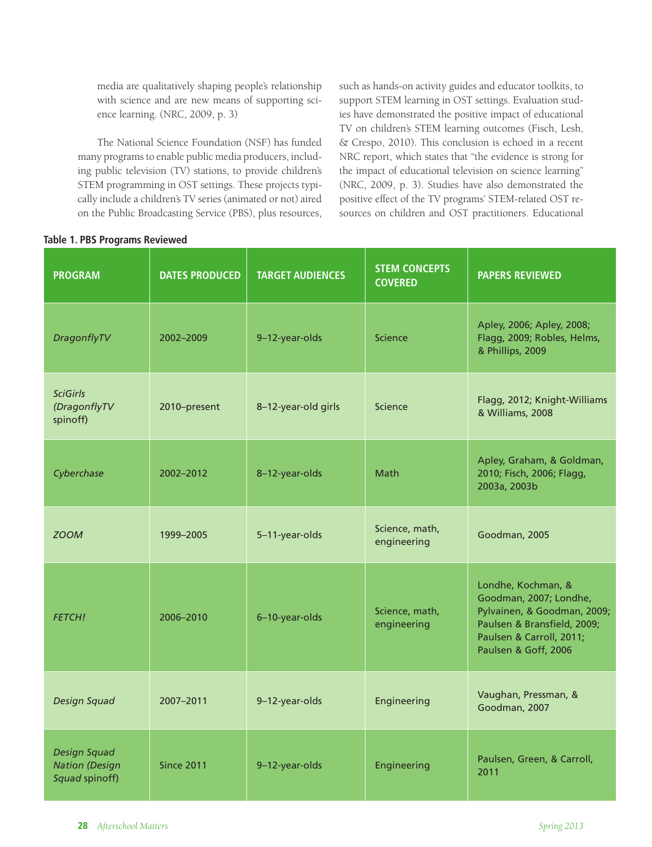media are qualitatively shaping people's relationship with science and are new means of supporting science learning. (NRC, 2009, p. 3)

The National Science Foundation (NSF) has funded many programs to enable public media producers, including public television (TV) stations, to provide children's STEM programming in OST settings. These projects typically include a children's TV series (animated or not) aired on the Public Broadcasting Service (PBS), plus resources, such as hands-on activity guides and educator toolkits, to support STEM learning in OST settings. Evaluation studies have demonstrated the positive impact of educational TV on children's STEM learning outcomes (Fisch, Lesh, & Crespo, 2010). This conclusion is echoed in a recent NRC report, which states that "the evidence is strong for the impact of educational television on science learning" (NRC, 2009, p. 3). Studies have also demonstrated the positive effect of the TV programs' STEM-related OST resources on children and OST practitioners. Educational

| <b>PROGRAM</b>                                                 | <b>DATES PRODUCED</b> | <b>TARGET AUDIENCES</b> | <b>STEM CONCEPTS</b><br><b>COVERED</b> | <b>PAPERS REVIEWED</b>                                                                                                                                         |
|----------------------------------------------------------------|-----------------------|-------------------------|----------------------------------------|----------------------------------------------------------------------------------------------------------------------------------------------------------------|
| DragonflyTV                                                    | 2002-2009             | 9-12-year-olds          | Science                                | Apley, 2006; Apley, 2008;<br>Flagg, 2009; Robles, Helms,<br>& Phillips, 2009                                                                                   |
| <b>SciGirls</b><br>(DragonflyTV<br>spinoff)                    | 2010-present          | 8-12-year-old girls     | Science                                | Flagg, 2012; Knight-Williams<br>& Williams, 2008                                                                                                               |
| Cyberchase                                                     | 2002-2012             | 8-12-year-olds          | Math                                   | Apley, Graham, & Goldman,<br>2010; Fisch, 2006; Flagg,<br>2003a, 2003b                                                                                         |
| <b>ZOOM</b>                                                    | 1999-2005             | 5-11-year-olds          | Science, math,<br>engineering          | Goodman, 2005                                                                                                                                                  |
| <b>FETCH!</b>                                                  | 2006-2010             | 6-10-year-olds          | Science, math,<br>engineering          | Londhe, Kochman, &<br>Goodman, 2007; Londhe,<br>Pylvainen, & Goodman, 2009;<br>Paulsen & Bransfield, 2009;<br>Paulsen & Carroll, 2011;<br>Paulsen & Goff, 2006 |
| Design Squad                                                   | 2007-2011             | 9-12-year-olds          | Engineering                            | Vaughan, Pressman, &<br>Goodman, 2007                                                                                                                          |
| <b>Design Squad</b><br><b>Nation</b> (Design<br>Squad spinoff) | <b>Since 2011</b>     | 9-12-year-olds          | Engineering                            | Paulsen, Green, & Carroll,<br>2011                                                                                                                             |

#### **Table 1. PBS Programs Reviewed**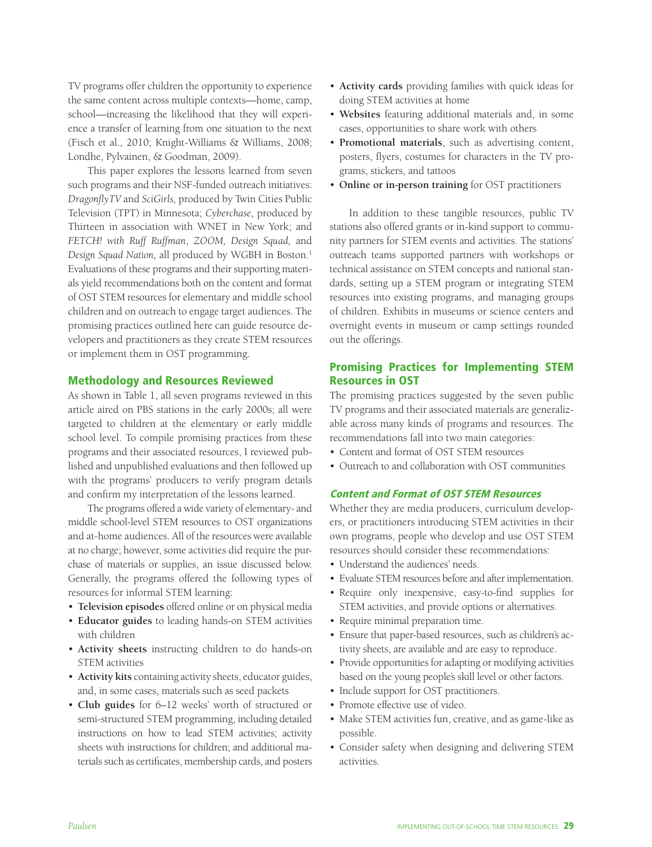TV programs offer children the opportunity to experience the same content across multiple contexts—home, camp, school—increasing the likelihood that they will experience a transfer of learning from one situation to the next (Fisch et al., 2010; Knight-Williams & Williams, 2008; Londhe, Pylvainen, & Goodman, 2009).

This paper explores the lessons learned from seven such programs and their NSF-funded outreach initiatives: *DragonflyTV* and *SciGirls,* produced by Twin Cities Public Television (TPT) in Minnesota; *Cyberchase,* produced by Thirteen in association with WNET in New York; and *FETCH! with Ruff Ruffman*, *ZOOM, Design Squad,* and Design Squad Nation, all produced by WGBH in Boston.<sup>1</sup> Evaluations of these programs and their supporting materials yield recommendations both on the content and format of OST STEM resources for elementary and middle school children and on outreach to engage target audiences. The promising practices outlined here can guide resource developers and practitioners as they create STEM resources or implement them in OST programming.

#### Methodology and Resources Reviewed

As shown in Table 1, all seven programs reviewed in this article aired on PBS stations in the early 2000s; all were targeted to children at the elementary or early middle school level. To compile promising practices from these programs and their associated resources, I reviewed published and unpublished evaluations and then followed up with the programs' producers to verify program details and confirm my interpretation of the lessons learned.

The programs offered a wide variety of elementary- and middle school-level STEM resources to OST organizations and at-home audiences. All of the resources were available at no charge; however, some activities did require the purchase of materials or supplies, an issue discussed below. Generally, the programs offered the following types of resources for informal STEM learning:

- Television episodes offered online or on physical media
- **Educator guides** to leading hands-on STEM activities with children
- Activity sheets instructing children to do hands-on STEM activities
- Activity kits containing activity sheets, educator guides, and, in some cases, materials such as seed packets
- Club guides for 6–12 weeks' worth of structured or semi-structured STEM programming, including detailed instructions on how to lead STEM activities; activity sheets with instructions for children; and additional materials such as certificates, membership cards, and posters
- Activity cards providing families with quick ideas for doing STEM activities at home
- Websites featuring additional materials and, in some cases, opportunities to share work with others
- UÊ**Promotional materials**, such as advertising content, posters, flyers, costumes for characters in the TV programs, stickers, and tattoos
- Online or in-person training for OST practitioners

In addition to these tangible resources, public TV stations also offered grants or in-kind support to community partners for STEM events and activities. The stations' outreach teams supported partners with workshops or technical assistance on STEM concepts and national standards, setting up a STEM program or integrating STEM resources into existing programs, and managing groups of children. Exhibits in museums or science centers and overnight events in museum or camp settings rounded out the offerings.

# Promising Practices for Implementing STEM Resources in OST

The promising practices suggested by the seven public TV programs and their associated materials are generalizable across many kinds of programs and resources. The recommendations fall into two main categories:

- Content and format of OST STEM resources
- Outreach to and collaboration with OST communities

# Content and Format of OST STEM Resources

Whether they are media producers, curriculum developers, or practitioners introducing STEM activities in their own programs, people who develop and use OST STEM resources should consider these recommendations:

- Understand the audiences' needs.
- Evaluate STEM resources before and after implementation.
- Require only inexpensive, easy-to-find supplies for STEM activities, and provide options or alternatives.
- Require minimal preparation time.
- Ensure that paper-based resources, such as children's activity sheets, are available and are easy to reproduce.
- Provide opportunities for adapting or modifying activities based on the young people's skill level or other factors.
- Include support for OST practitioners.
- Promote effective use of video.
- Make STEM activities fun, creative, and as game-like as possible.
- Consider safety when designing and delivering STEM activities.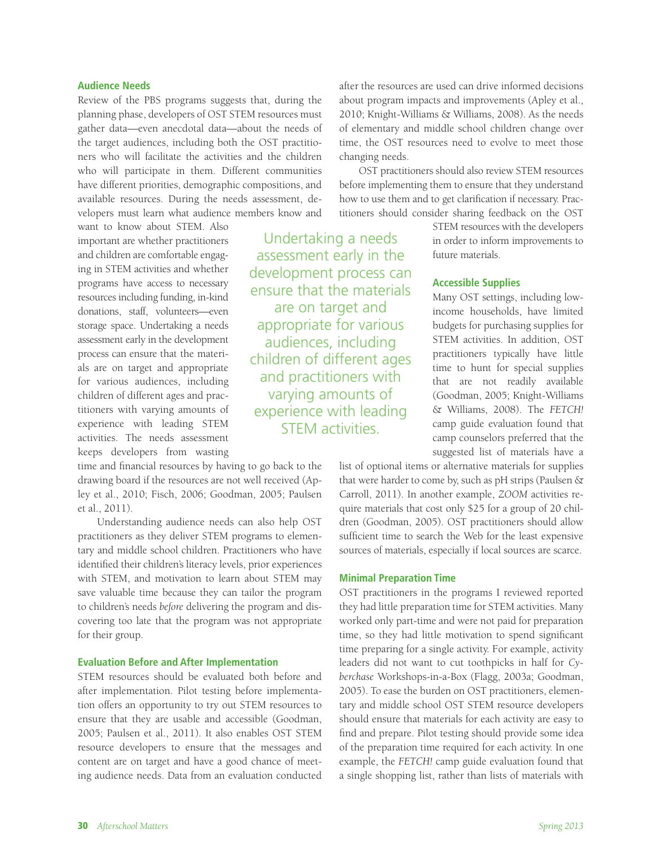#### **Audience Needs**

Review of the PBS programs suggests that, during the planning phase, developers of OST STEM resources must gather data—even anecdotal data—about the needs of the target audiences, including both the OST practitioners who will facilitate the activities and the children who will participate in them. Different communities have different priorities, demographic compositions, and available resources. During the needs assessment, developers must learn what audience members know and

want to know about STEM. Also important are whether practitioners and children are comfortable engaging in STEM activities and whether programs have access to necessary resources including funding, in-kind donations, staff, volunteers—even storage space. Undertaking a needs assessment early in the development process can ensure that the materials are on target and appropriate for various audiences, including children of different ages and practitioners with varying amounts of experience with leading STEM activities. The needs assessment keeps developers from wasting

time and financial resources by having to go back to the drawing board if the resources are not well received (Apley et al., 2010; Fisch, 2006; Goodman, 2005; Paulsen et al., 2011).

Understanding audience needs can also help OST practitioners as they deliver STEM programs to elementary and middle school children. Practitioners who have identified their children's literacy levels, prior experiences with STEM, and motivation to learn about STEM may save valuable time because they can tailor the program to children's needs *before* delivering the program and discovering too late that the program was not appropriate for their group.

# **Evaluation Before and After Implementation**

STEM resources should be evaluated both before and after implementation. Pilot testing before implementation offers an opportunity to try out STEM resources to ensure that they are usable and accessible (Goodman, 2005; Paulsen et al., 2011). It also enables OST STEM resource developers to ensure that the messages and content are on target and have a good chance of meeting audience needs. Data from an evaluation conducted

Undertaking a needs assessment early in the development process can ensure that the materials are on target and appropriate for various audiences, including children of different ages and practitioners with varying amounts of experience with leading STEM activities.

after the resources are used can drive informed decisions about program impacts and improvements (Apley et al., 2010; Knight-Williams & Williams, 2008). As the needs of elementary and middle school children change over time, the OST resources need to evolve to meet those changing needs.

OST practitioners should also review STEM resources before implementing them to ensure that they understand how to use them and to get clarification if necessary. Practitioners should consider sharing feedback on the OST

> STEM resources with the developers in order to inform improvements to future materials.

#### **Accessible Supplies**

Many OST settings, including lowincome households, have limited budgets for purchasing supplies for STEM activities. In addition, OST practitioners typically have little time to hunt for special supplies that are not readily available (Goodman, 2005; Knight-Williams & Williams, 2008). The *FETCH!* camp guide evaluation found that camp counselors preferred that the suggested list of materials have a

list of optional items or alternative materials for supplies that were harder to come by, such as pH strips (Paulsen & Carroll, 2011). In another example, *ZOOM* activities require materials that cost only \$25 for a group of 20 children (Goodman, 2005). OST practitioners should allow sufficient time to search the Web for the least expensive sources of materials, especially if local sources are scarce.

#### **Minimal Preparation Time**

OST practitioners in the programs I reviewed reported they had little preparation time for STEM activities. Many worked only part-time and were not paid for preparation time, so they had little motivation to spend significant time preparing for a single activity. For example, activity leaders did not want to cut toothpicks in half for *Cyberchase* Workshops-in-a-Box (Flagg, 2003a; Goodman, 2005). To ease the burden on OST practitioners, elementary and middle school OST STEM resource developers should ensure that materials for each activity are easy to find and prepare. Pilot testing should provide some idea of the preparation time required for each activity. In one example, the *FETCH!* camp guide evaluation found that a single shopping list, rather than lists of materials with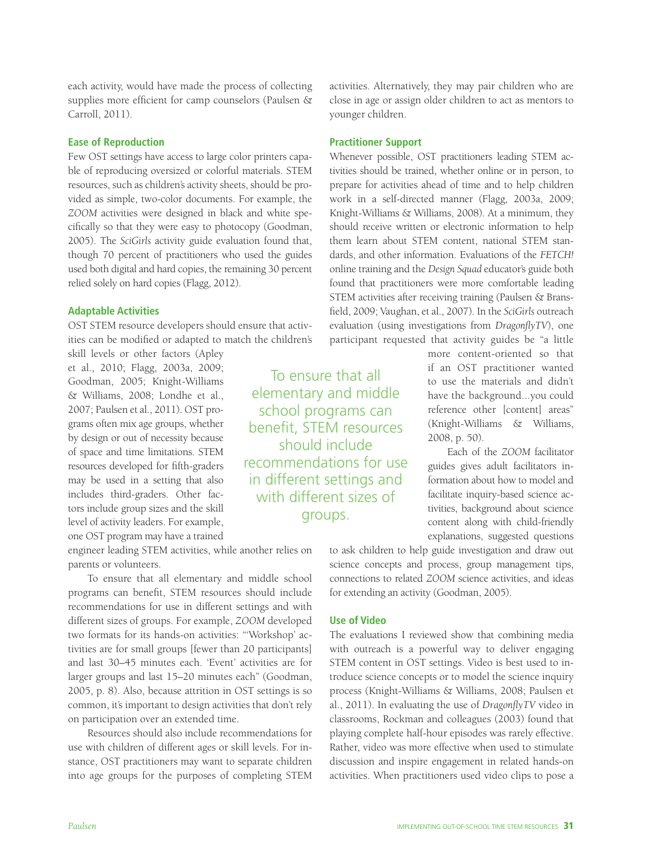each activity, would have made the process of collecting supplies more efficient for camp counselors (Paulsen & Carroll, 2011).

# **Ease of Reproduction**

Few OST settings have access to large color printers capable of reproducing oversized or colorful materials. STEM resources, such as children's activity sheets, should be provided as simple, two-color documents. For example, the *ZOOM* activities were designed in black and white specifically so that they were easy to photocopy (Goodman, 2005). The *SciGirls* activity guide evaluation found that, though 70 percent of practitioners who used the guides used both digital and hard copies, the remaining 30 percent relied solely on hard copies (Flagg, 2012).

# **Adaptable Activities**

OST STEM resource developers should ensure that activities can be modified or adapted to match the children's

skill levels or other factors (Apley et al., 2010; Flagg, 2003a, 2009; Goodman, 2005; Knight-Williams & Williams, 2008; Londhe et al., 2007; Paulsen et al., 2011). OST programs often mix age groups, whether by design or out of necessity because of space and time limitations. STEM resources developed for fifth-graders may be used in a setting that also includes third-graders. Other factors include group sizes and the skill level of activity leaders. For example, one OST program may have a trained

engineer leading STEM activities, while another relies on parents or volunteers.

To ensure that all elementary and middle school programs can benefit, STEM resources should include recommendations for use in different settings and with different sizes of groups. For example, *ZOOM* developed two formats for its hands-on activities: "'Workshop' activities are for small groups [fewer than 20 participants] and last 30–45 minutes each. 'Event' activities are for larger groups and last 15–20 minutes each" (Goodman, 2005, p. 8). Also, because attrition in OST settings is so common, it's important to design activities that don't rely on participation over an extended time.

Resources should also include recommendations for use with children of different ages or skill levels. For instance, OST practitioners may want to separate children into age groups for the purposes of completing STEM

activities. Alternatively, they may pair children who are close in age or assign older children to act as mentors to younger children.

# **Practitioner Support**

Whenever possible, OST practitioners leading STEM activities should be trained, whether online or in person, to prepare for activities ahead of time and to help children work in a self-directed manner (Flagg, 2003a, 2009; Knight-Williams & Williams, 2008). At a minimum, they should receive written or electronic information to help them learn about STEM content, national STEM standards, and other information. Evaluations of the *FETCH!* online training and the *Design Squad* educator's guide both found that practitioners were more comfortable leading STEM activities after receiving training (Paulsen & Bransfield, 2009; Vaughan, et al., 2007). In the *SciGirls* outreach evaluation (using investigations from *DragonflyTV*), one participant requested that activity guides be "a little

> more content-oriented so that if an OST practitioner wanted to use the materials and didn't have the background...you could reference other [content] areas" (Knight-Williams & Williams, 2008, p. 50).

> Each of the *ZOOM* facilitator guides gives adult facilitators information about how to model and facilitate inquiry-based science activities, background about science content along with child-friendly explanations, suggested questions

to ask children to help guide investigation and draw out science concepts and process, group management tips, connections to related *ZOOM* science activities, and ideas for extending an activity (Goodman, 2005).

#### **Use of Video**

The evaluations I reviewed show that combining media with outreach is a powerful way to deliver engaging STEM content in OST settings. Video is best used to introduce science concepts or to model the science inquiry process (Knight-Williams & Williams, 2008; Paulsen et al., 2011). In evaluating the use of *DragonflyTV* video in classrooms, Rockman and colleagues (2003) found that playing complete half-hour episodes was rarely effective. Rather, video was more effective when used to stimulate discussion and inspire engagement in related hands-on activities. When practitioners used video clips to pose a

school programs can benefit, STEM resources should include recommendations for use in different settings and with different sizes of groups.

To ensure that all elementary and middle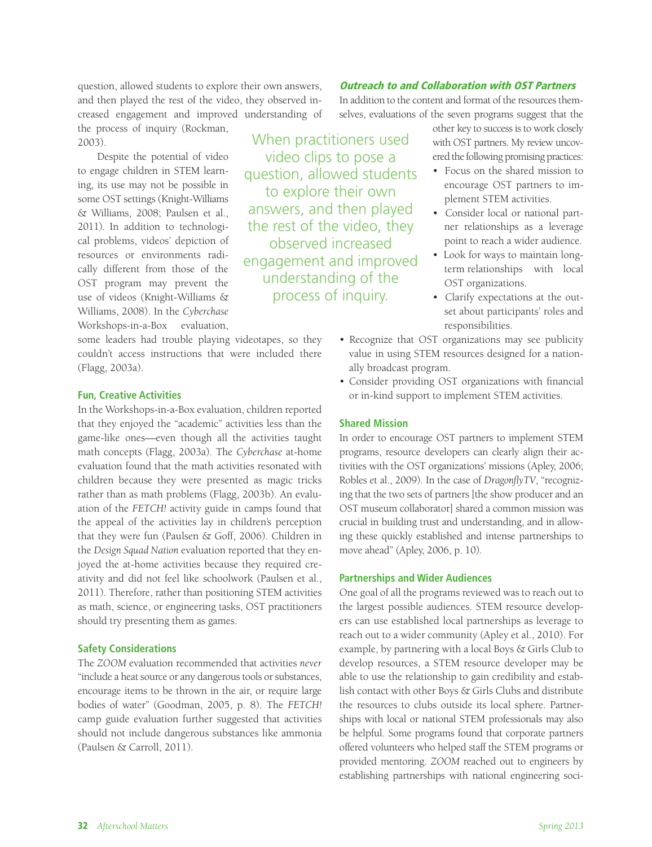question, allowed students to explore their own answers, and then played the rest of the video, they observed increased engagement and improved understanding of the process of inquiry (Rockman, 2003).

Despite the potential of video to engage children in STEM learning, its use may not be possible in some OST settings (Knight-Williams & Williams, 2008; Paulsen et al., 2011). In addition to technological problems, videos' depiction of resources or environments radically different from those of the OST program may prevent the use of videos (Knight-Williams & Williams, 2008). In the *Cyberchase*  Workshops-in-a-Box evaluation,

some leaders had trouble playing videotapes, so they couldn't access instructions that were included there (Flagg, 2003a).

#### **Fun, Creative Activities**

In the Workshops-in-a-Box evaluation, children reported that they enjoyed the "academic" activities less than the game-like ones—even though all the activities taught math concepts (Flagg, 2003a). The *Cyberchase* at-home evaluation found that the math activities resonated with children because they were presented as magic tricks rather than as math problems (Flagg, 2003b). An evaluation of the *FETCH!* activity guide in camps found that the appeal of the activities lay in children's perception that they were fun (Paulsen & Goff, 2006). Children in the *Design Squad Nation* evaluation reported that they enjoyed the at-home activities because they required creativity and did not feel like schoolwork (Paulsen et al., 2011). Therefore, rather than positioning STEM activities as math, science, or engineering tasks, OST practitioners should try presenting them as games.

#### **Safety Considerations**

The *ZOOM* evaluation recommended that activities *never* "include a heat source or any dangerous tools or substances, encourage items to be thrown in the air, or require large bodies of water" (Goodman, 2005, p. 8). The *FETCH!* camp guide evaluation further suggested that activities should not include dangerous substances like ammonia (Paulsen & Carroll, 2011).

In addition to the content and format of the resources themselves, evaluations of the seven programs suggest that the

Outreach to and Collaboration with OST Partners

When practitioners used video clips to pose a question, allowed students to explore their own answers, and then played the rest of the video, they observed increased engagement and improved understanding of the process of inquiry.

other key to success is to work closely with OST partners. My review uncovered the following promising practices:

- Focus on the shared mission to encourage OST partners to implement STEM activities.
- Consider local or national partner relationships as a leverage point to reach a wider audience.
- Look for ways to maintain longterm relationships with local OST organizations.
- Clarify expectations at the outset about participants' roles and responsibilities.
- Recognize that OST organizations may see publicity value in using STEM resources designed for a nationally broadcast program.
- Consider providing OST organizations with financial or in-kind support to implement STEM activities.

#### **Shared Mission**

In order to encourage OST partners to implement STEM programs, resource developers can clearly align their activities with the OST organizations' missions (Apley, 2006; Robles et al., 2009). In the case of *DragonflyTV*, "recognizing that the two sets of partners [the show producer and an OST museum collaborator] shared a common mission was crucial in building trust and understanding, and in allowing these quickly established and intense partnerships to move ahead" (Apley, 2006, p. 10).

#### **Partnerships and Wider Audiences**

One goal of all the programs reviewed was to reach out to the largest possible audiences. STEM resource developers can use established local partnerships as leverage to reach out to a wider community (Apley et al., 2010). For example, by partnering with a local Boys & Girls Club to develop resources, a STEM resource developer may be able to use the relationship to gain credibility and establish contact with other Boys & Girls Clubs and distribute the resources to clubs outside its local sphere. Partnerships with local or national STEM professionals may also be helpful. Some programs found that corporate partners offered volunteers who helped staff the STEM programs or provided mentoring. *ZOOM* reached out to engineers by establishing partnerships with national engineering soci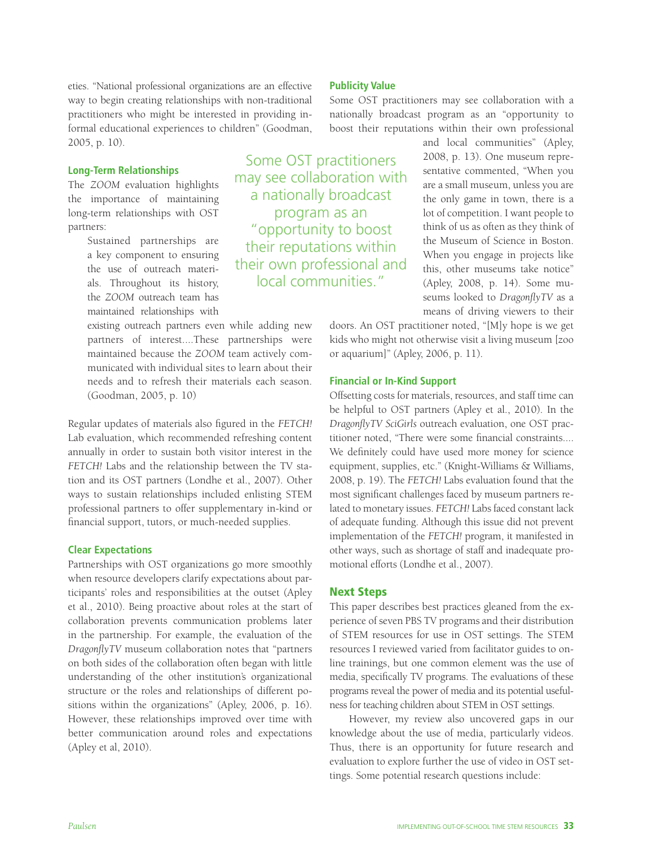eties. "National professional organizations are an effective way to begin creating relationships with non-traditional practitioners who might be interested in providing informal educational experiences to children" (Goodman, 2005, p. 10).

#### **Long-Term Relationships**

The *ZOOM* evaluation highlights the importance of maintaining long-term relationships with OST partners:

> Sustained partnerships are a key component to ensuring the use of outreach materials. Throughout its history, the *ZOOM* outreach team has maintained relationships with

existing outreach partners even while adding new partners of interest....These partnerships were maintained because the *ZOOM* team actively communicated with individual sites to learn about their needs and to refresh their materials each season. (Goodman, 2005, p. 10)

Regular updates of materials also figured in the *FETCH!* Lab evaluation, which recommended refreshing content annually in order to sustain both visitor interest in the *FETCH!* Labs and the relationship between the TV station and its OST partners (Londhe et al., 2007). Other ways to sustain relationships included enlisting STEM professional partners to offer supplementary in-kind or financial support, tutors, or much-needed supplies.

#### **Clear Expectations**

Partnerships with OST organizations go more smoothly when resource developers clarify expectations about participants' roles and responsibilities at the outset (Apley et al., 2010). Being proactive about roles at the start of collaboration prevents communication problems later in the partnership. For example, the evaluation of the *DragonflyTV* museum collaboration notes that "partners on both sides of the collaboration often began with little understanding of the other institution's organizational structure or the roles and relationships of different positions within the organizations" (Apley, 2006, p. 16). However, these relationships improved over time with better communication around roles and expectations (Apley et al, 2010).

Some OST practitioners may see collaboration with a nationally broadcast program as an "opportunity to boost their reputations within their own professional and local communities."

#### **Publicity Value**

Some OST practitioners may see collaboration with a nationally broadcast program as an "opportunity to boost their reputations within their own professional

> and local communities" (Apley, 2008, p. 13). One museum representative commented, "When you are a small museum, unless you are the only game in town, there is a lot of competition. I want people to think of us as often as they think of the Museum of Science in Boston. When you engage in projects like this, other museums take notice" (Apley, 2008, p. 14). Some museums looked to *DragonflyTV* as a means of driving viewers to their

doors. An OST practitioner noted, "[M]y hope is we get kids who might not otherwise visit a living museum [zoo or aquarium]" (Apley, 2006, p. 11).

#### **Financial or In-Kind Support**

Offsetting costs for materials, resources, and staff time can be helpful to OST partners (Apley et al., 2010). In the *DragonflyTV SciGirls* outreach evaluation, one OST practitioner noted, "There were some financial constraints.... We definitely could have used more money for science equipment, supplies, etc." (Knight-Williams & Williams, 2008, p. 19). The *FETCH!* Labs evaluation found that the most significant challenges faced by museum partners related to monetary issues. *FETCH!* Labs faced constant lack of adequate funding. Although this issue did not prevent implementation of the *FETCH!* program, it manifested in other ways, such as shortage of staff and inadequate promotional efforts (Londhe et al., 2007).

#### Next Steps

This paper describes best practices gleaned from the experience of seven PBS TV programs and their distribution of STEM resources for use in OST settings. The STEM resources I reviewed varied from facilitator guides to online trainings, but one common element was the use of media, specifically TV programs. The evaluations of these programs reveal the power of media and its potential usefulness for teaching children about STEM in OST settings.

However, my review also uncovered gaps in our knowledge about the use of media, particularly videos. Thus, there is an opportunity for future research and evaluation to explore further the use of video in OST settings. Some potential research questions include: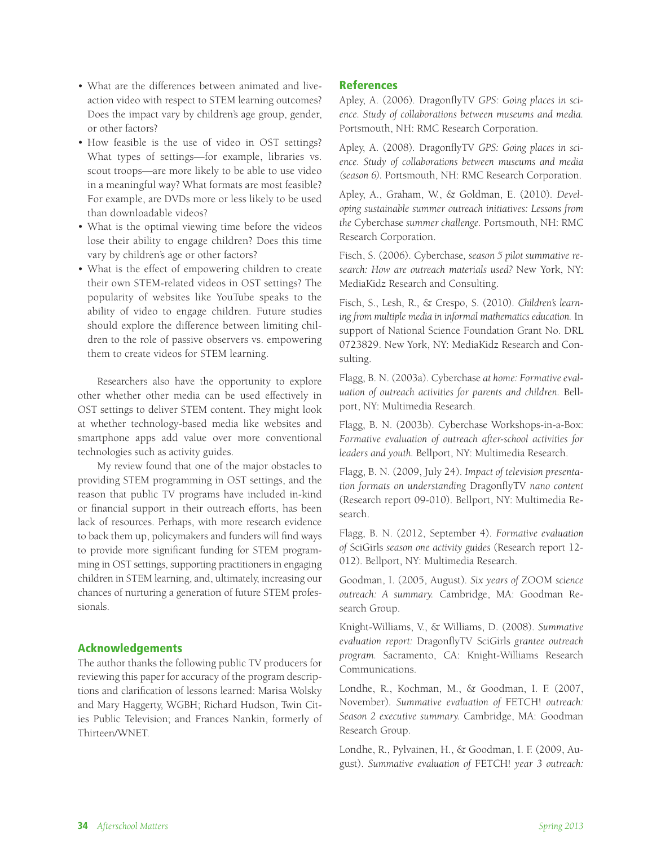- What are the differences between animated and liveaction video with respect to STEM learning outcomes? Does the impact vary by children's age group, gender, or other factors?
- How feasible is the use of video in OST settings? What types of settings—for example, libraries vs. scout troops—are more likely to be able to use video in a meaningful way? What formats are most feasible? For example, are DVDs more or less likely to be used than downloadable videos?
- What is the optimal viewing time before the videos lose their ability to engage children? Does this time vary by children's age or other factors?
- What is the effect of empowering children to create their own STEM-related videos in OST settings? The popularity of websites like YouTube speaks to the ability of video to engage children. Future studies should explore the difference between limiting children to the role of passive observers vs. empowering them to create videos for STEM learning.

Researchers also have the opportunity to explore other whether other media can be used effectively in OST settings to deliver STEM content. They might look at whether technology-based media like websites and smartphone apps add value over more conventional technologies such as activity guides.

My review found that one of the major obstacles to providing STEM programming in OST settings, and the reason that public TV programs have included in-kind or financial support in their outreach efforts, has been lack of resources. Perhaps, with more research evidence to back them up, policymakers and funders will find ways to provide more significant funding for STEM programming in OST settings, supporting practitioners in engaging children in STEM learning, and, ultimately, increasing our chances of nurturing a generation of future STEM professionals.

# Acknowledgements

The author thanks the following public TV producers for reviewing this paper for accuracy of the program descriptions and clarification of lessons learned: Marisa Wolsky and Mary Haggerty, WGBH; Richard Hudson, Twin Cities Public Television; and Frances Nankin, formerly of Thirteen/WNET.

# References

Apley, A. (2006). DragonflyTV *GPS: Going places in science. Study of collaborations between museums and media.* Portsmouth, NH: RMC Research Corporation.

Apley, A. (2008). DragonflyTV *GPS: Going places in science. Study of collaborations between museums and media (season 6).* Portsmouth, NH: RMC Research Corporation.

Apley, A., Graham, W., & Goldman, E. (2010). *Developing sustainable summer outreach initiatives: Lessons from the* Cyberchase *summer challenge.* Portsmouth, NH: RMC Research Corporation.

Fisch, S. (2006). Cyberchase*, season 5 pilot summative research: How are outreach materials used?* New York, NY: MediaKidz Research and Consulting.

Fisch, S., Lesh, R., & Crespo, S. (2010). *Children's learning from multiple media in informal mathematics education.* In support of National Science Foundation Grant No. DRL 0723829. New York, NY: MediaKidz Research and Consulting.

Flagg, B. N. (2003a). Cyberchase *at home: Formative evaluation of outreach activities for parents and children.* Bellport, NY: Multimedia Research.

Flagg, B. N. (2003b). Cyberchase Workshops-in-a-Box: *Formative evaluation of outreach after-school activities for leaders and youth.* Bellport, NY: Multimedia Research.

Flagg, B. N. (2009, July 24). *Impact of television presentation formats on understanding* DragonflyTV *nano content*  (Research report 09-010). Bellport, NY: Multimedia Research.

Flagg, B. N. (2012, September 4). *Formative evaluation of* SciGirls *season one activity guides* (Research report 12- 012). Bellport, NY: Multimedia Research.

Goodman, I. (2005, August). *Six years of* ZOOM *science outreach: A summary.* Cambridge, MA: Goodman Research Group.

Knight-Williams, V., & Williams, D. (2008). *Summative evaluation report:* DragonflyTV SciGirls *grantee outreach program.* Sacramento, CA: Knight-Williams Research Communications.

Londhe, R., Kochman, M., & Goodman, I. F. (2007, November). *Summative evaluation of* FETCH! *outreach: Season 2 executive summary.* Cambridge, MA: Goodman Research Group.

Londhe, R., Pylvainen, H., & Goodman, I. F. (2009, August). *Summative evaluation of* FETCH! *year 3 outreach:*